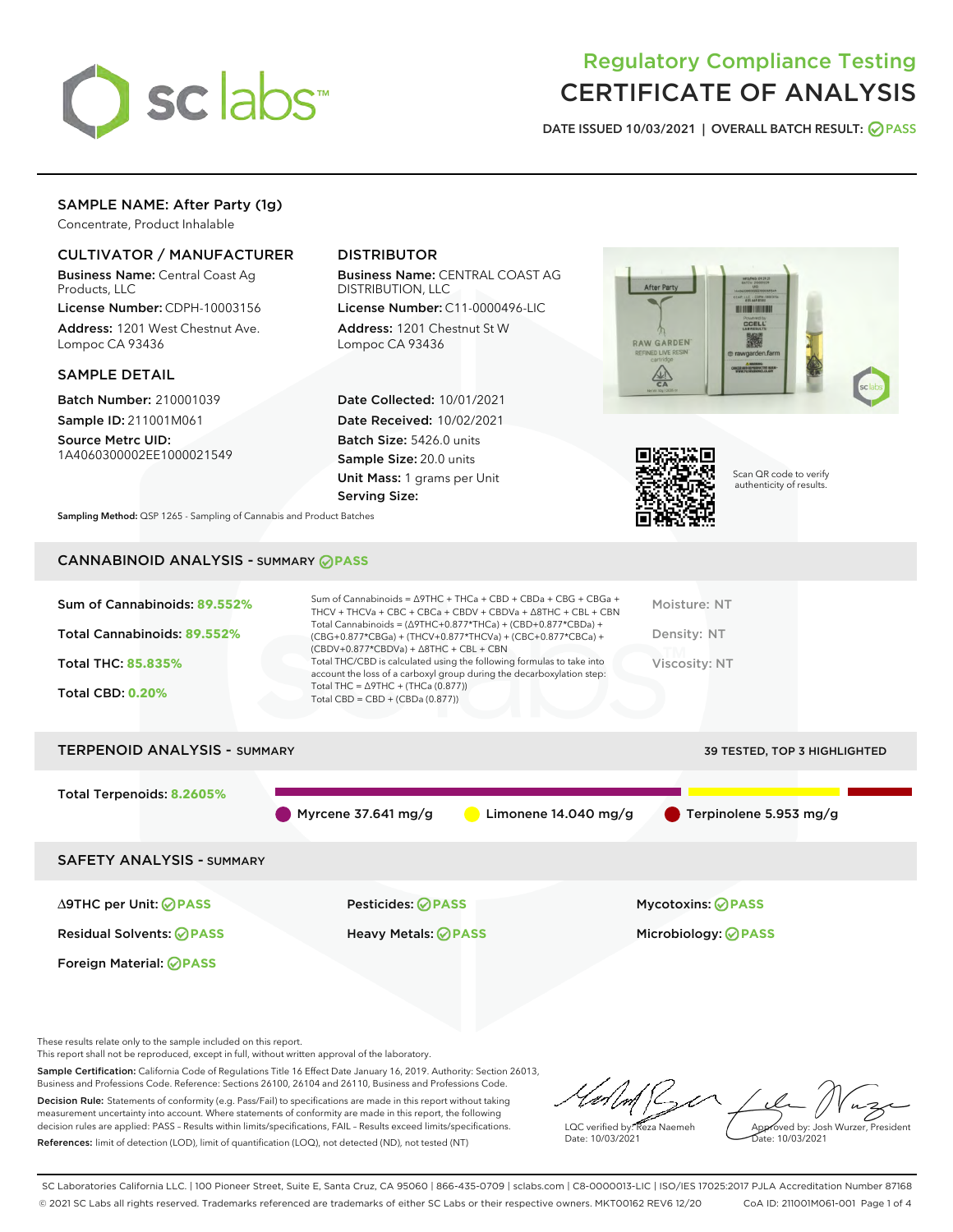

# Regulatory Compliance Testing CERTIFICATE OF ANALYSIS

DATE ISSUED 10/03/2021 | OVERALL BATCH RESULT: @ PASS

## SAMPLE NAME: After Party (1g)

Concentrate, Product Inhalable

## CULTIVATOR / MANUFACTURER

Business Name: Central Coast Ag Products, LLC

License Number: CDPH-10003156 Address: 1201 West Chestnut Ave. Lompoc CA 93436

#### SAMPLE DETAIL

Batch Number: 210001039 Sample ID: 211001M061

Source Metrc UID: 1A4060300002EE1000021549

## DISTRIBUTOR

Business Name: CENTRAL COAST AG DISTRIBUTION, LLC

License Number: C11-0000496-LIC Address: 1201 Chestnut St W Lompoc CA 93436

Date Collected: 10/01/2021 Date Received: 10/02/2021 Batch Size: 5426.0 units Sample Size: 20.0 units Unit Mass: 1 grams per Unit Serving Size:





Scan QR code to verify authenticity of results.

Sampling Method: QSP 1265 - Sampling of Cannabis and Product Batches

## CANNABINOID ANALYSIS - SUMMARY **PASS**

| Sum of Cannabinoids: 89.552%        | Sum of Cannabinoids = $\triangle$ 9THC + THCa + CBD + CBDa + CBG + CBGa +<br>THCV + THCVa + CBC + CBCa + CBDV + CBDVa + $\Delta$ 8THC + CBL + CBN                                    | Moisture: NT                 |
|-------------------------------------|--------------------------------------------------------------------------------------------------------------------------------------------------------------------------------------|------------------------------|
| Total Cannabinoids: 89.552%         | Total Cannabinoids = $(\Delta$ 9THC+0.877*THCa) + (CBD+0.877*CBDa) +<br>(CBG+0.877*CBGa) + (THCV+0.877*THCVa) + (CBC+0.877*CBCa) +<br>$(CBDV+0.877*CBDVa) + \Delta 8THC + CBL + CBN$ | Density: NT                  |
| <b>Total THC: 85.835%</b>           | Total THC/CBD is calculated using the following formulas to take into<br>account the loss of a carboxyl group during the decarboxylation step:                                       | Viscosity: NT                |
| <b>Total CBD: 0.20%</b>             | Total THC = $\triangle$ 9THC + (THCa (0.877))<br>Total CBD = $CBD + (CBDa (0.877))$                                                                                                  |                              |
| <b>TERPENOID ANALYSIS - SUMMARY</b> |                                                                                                                                                                                      | 39 TESTED, TOP 3 HIGHLIGHTED |

Total Terpenoids: **8.2605%** Myrcene 37.641 mg/g  $\qquad \qquad$  Limonene 14.040 mg/g  $\qquad \qquad$  Terpinolene 5.953 mg/g SAFETY ANALYSIS - SUMMARY

Foreign Material: **PASS**

∆9THC per Unit: **PASS** Pesticides: **PASS** Mycotoxins: **PASS**

Residual Solvents: **PASS** Heavy Metals: **PASS** Microbiology: **PASS**

These results relate only to the sample included on this report.

This report shall not be reproduced, except in full, without written approval of the laboratory.

Sample Certification: California Code of Regulations Title 16 Effect Date January 16, 2019. Authority: Section 26013, Business and Professions Code. Reference: Sections 26100, 26104 and 26110, Business and Professions Code. Decision Rule: Statements of conformity (e.g. Pass/Fail) to specifications are made in this report without taking measurement uncertainty into account. Where statements of conformity are made in this report, the following

decision rules are applied: PASS – Results within limits/specifications, FAIL – Results exceed limits/specifications. References: limit of detection (LOD), limit of quantification (LOQ), not detected (ND), not tested (NT)

LQC verified by: Reza Naemeh Date: 10/03/2021 Approved by: Josh Wurzer, President Date: 10/03/2021

SC Laboratories California LLC. | 100 Pioneer Street, Suite E, Santa Cruz, CA 95060 | 866-435-0709 | sclabs.com | C8-0000013-LIC | ISO/IES 17025:2017 PJLA Accreditation Number 87168 © 2021 SC Labs all rights reserved. Trademarks referenced are trademarks of either SC Labs or their respective owners. MKT00162 REV6 12/20 CoA ID: 211001M061-001 Page 1 of 4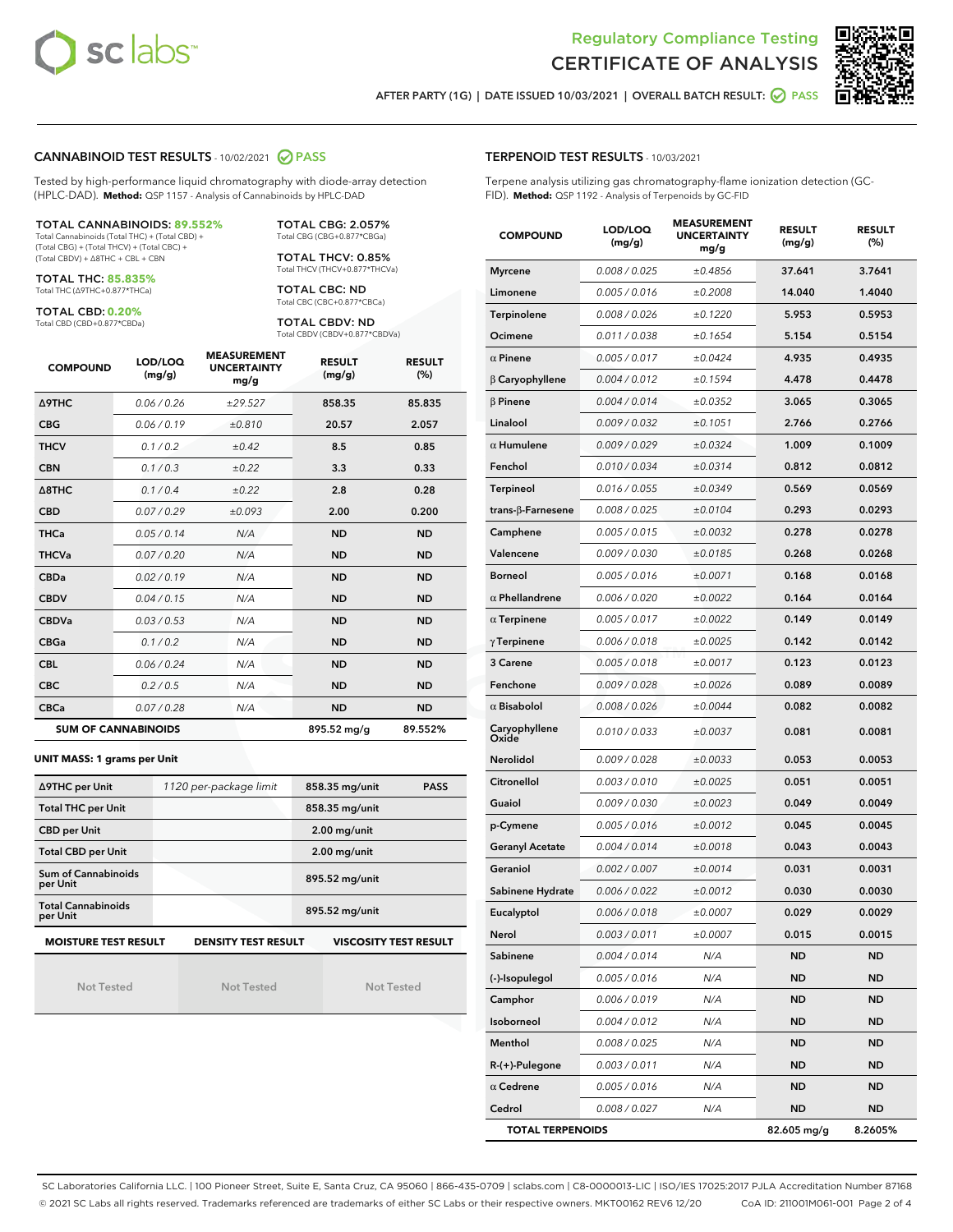



AFTER PARTY (1G) | DATE ISSUED 10/03/2021 | OVERALL BATCH RESULT: O PASS

#### CANNABINOID TEST RESULTS - 10/02/2021 2 PASS

Tested by high-performance liquid chromatography with diode-array detection (HPLC-DAD). **Method:** QSP 1157 - Analysis of Cannabinoids by HPLC-DAD

#### TOTAL CANNABINOIDS: **89.552%**

Total Cannabinoids (Total THC) + (Total CBD) + (Total CBG) + (Total THCV) + (Total CBC) + (Total CBDV) + ∆8THC + CBL + CBN

TOTAL THC: **85.835%** Total THC (∆9THC+0.877\*THCa)

TOTAL CBD: **0.20%**

Total CBD (CBD+0.877\*CBDa)

TOTAL CBG: 2.057% Total CBG (CBG+0.877\*CBGa)

TOTAL THCV: 0.85% Total THCV (THCV+0.877\*THCVa)

TOTAL CBC: ND Total CBC (CBC+0.877\*CBCa)

TOTAL CBDV: ND Total CBDV (CBDV+0.877\*CBDVa)

| <b>COMPOUND</b>            | LOD/LOQ<br>(mg/g) | <b>MEASUREMENT</b><br><b>UNCERTAINTY</b><br>mg/g | <b>RESULT</b><br>(mg/g) | <b>RESULT</b><br>(%) |
|----------------------------|-------------------|--------------------------------------------------|-------------------------|----------------------|
| <b>A9THC</b>               | 0.06 / 0.26       | ±29.527                                          | 858.35                  | 85.835               |
| <b>CBG</b>                 | 0.06/0.19         | ±0.810                                           | 20.57                   | 2.057                |
| <b>THCV</b>                | 0.1 / 0.2         | $\pm 0.42$                                       | 8.5                     | 0.85                 |
| <b>CBN</b>                 | 0.1 / 0.3         | ±0.22                                            | 3.3                     | 0.33                 |
| $\triangle$ 8THC           | 0.1 / 0.4         | ±0.22                                            | 2.8                     | 0.28                 |
| <b>CBD</b>                 | 0.07/0.29         | ±0.093                                           | 2.00                    | 0.200                |
| <b>THCa</b>                | 0.05/0.14         | N/A                                              | <b>ND</b>               | <b>ND</b>            |
| <b>THCVa</b>               | 0.07/0.20         | N/A                                              | <b>ND</b>               | <b>ND</b>            |
| <b>CBDa</b>                | 0.02/0.19         | N/A                                              | <b>ND</b>               | <b>ND</b>            |
| <b>CBDV</b>                | 0.04/0.15         | N/A                                              | <b>ND</b>               | <b>ND</b>            |
| <b>CBDVa</b>               | 0.03/0.53         | N/A                                              | <b>ND</b>               | <b>ND</b>            |
| <b>CBGa</b>                | 0.1/0.2           | N/A                                              | <b>ND</b>               | <b>ND</b>            |
| <b>CBL</b>                 | 0.06 / 0.24       | N/A                                              | <b>ND</b>               | <b>ND</b>            |
| <b>CBC</b>                 | 0.2 / 0.5         | N/A                                              | <b>ND</b>               | <b>ND</b>            |
| <b>CBCa</b>                | 0.07/0.28         | N/A                                              | <b>ND</b>               | <b>ND</b>            |
| <b>SUM OF CANNABINOIDS</b> |                   |                                                  | 895.52 mg/g             | 89.552%              |

#### **UNIT MASS: 1 grams per Unit**

| ∆9THC per Unit                        | 1120 per-package limit     | 858.35 mg/unit<br><b>PASS</b> |
|---------------------------------------|----------------------------|-------------------------------|
| <b>Total THC per Unit</b>             |                            | 858.35 mg/unit                |
| <b>CBD per Unit</b>                   |                            | $2.00$ mg/unit                |
| <b>Total CBD per Unit</b>             |                            | $2.00$ mg/unit                |
| Sum of Cannabinoids<br>per Unit       |                            | 895.52 mg/unit                |
| <b>Total Cannabinoids</b><br>per Unit |                            | 895.52 mg/unit                |
| <b>MOISTURE TEST RESULT</b>           | <b>DENSITY TEST RESULT</b> | <b>VISCOSITY TEST RESULT</b>  |

Not Tested

Not Tested

Not Tested

#### TERPENOID TEST RESULTS - 10/03/2021

Terpene analysis utilizing gas chromatography-flame ionization detection (GC-FID). **Method:** QSP 1192 - Analysis of Terpenoids by GC-FID

| <b>COMPOUND</b>         | LOD/LOQ<br>(mg/g) | <b>MEASUREMENT</b><br><b>UNCERTAINTY</b><br>mg/g | <b>RESULT</b><br>(mg/g) | <b>RESULT</b><br>$(\%)$ |
|-------------------------|-------------------|--------------------------------------------------|-------------------------|-------------------------|
| <b>Myrcene</b>          | 0.008 / 0.025     | ±0.4856                                          | 37.641                  | 3.7641                  |
| Limonene                | 0.005 / 0.016     | ±0.2008                                          | 14.040                  | 1.4040                  |
| Terpinolene             | 0.008 / 0.026     | ±0.1220                                          | 5.953                   | 0.5953                  |
| Ocimene                 | 0.011 / 0.038     | ±0.1654                                          | 5.154                   | 0.5154                  |
| $\alpha$ Pinene         | 0.005 / 0.017     | ±0.0424                                          | 4.935                   | 0.4935                  |
| $\beta$ Caryophyllene   | 0.004 / 0.012     | ±0.1594                                          | 4.478                   | 0.4478                  |
| $\beta$ Pinene          | 0.004 / 0.014     | ±0.0352                                          | 3.065                   | 0.3065                  |
| Linalool                | 0.009 / 0.032     | ±0.1051                                          | 2.766                   | 0.2766                  |
| $\alpha$ Humulene       | 0.009/0.029       | ±0.0324                                          | 1.009                   | 0.1009                  |
| Fenchol                 | 0.010 / 0.034     | ±0.0314                                          | 0.812                   | 0.0812                  |
| <b>Terpineol</b>        | 0.016 / 0.055     | ±0.0349                                          | 0.569                   | 0.0569                  |
| trans-β-Farnesene       | 0.008 / 0.025     | ±0.0104                                          | 0.293                   | 0.0293                  |
| Camphene                | 0.005 / 0.015     | ±0.0032                                          | 0.278                   | 0.0278                  |
| Valencene               | 0.009 / 0.030     | ±0.0185                                          | 0.268                   | 0.0268                  |
| <b>Borneol</b>          | 0.005 / 0.016     | ±0.0071                                          | 0.168                   | 0.0168                  |
| $\alpha$ Phellandrene   | 0.006 / 0.020     | ±0.0022                                          | 0.164                   | 0.0164                  |
| $\alpha$ Terpinene      | 0.005 / 0.017     | ±0.0022                                          | 0.149                   | 0.0149                  |
| $\gamma$ Terpinene      | 0.006 / 0.018     | ±0.0025                                          | 0.142                   | 0.0142                  |
| 3 Carene                | 0.005 / 0.018     | ±0.0017                                          | 0.123                   | 0.0123                  |
| Fenchone                | 0.009 / 0.028     | ±0.0026                                          | 0.089                   | 0.0089                  |
| $\alpha$ Bisabolol      | 0.008 / 0.026     | ±0.0044                                          | 0.082                   | 0.0082                  |
| Caryophyllene<br>Oxide  | 0.010 / 0.033     | ±0.0037                                          | 0.081                   | 0.0081                  |
| <b>Nerolidol</b>        | 0.009 / 0.028     | ±0.0033                                          | 0.053                   | 0.0053                  |
| Citronellol             | 0.003 / 0.010     | ±0.0025                                          | 0.051                   | 0.0051                  |
| Guaiol                  | 0.009 / 0.030     | ±0.0023                                          | 0.049                   | 0.0049                  |
| p-Cymene                | 0.005 / 0.016     | ±0.0012                                          | 0.045                   | 0.0045                  |
| <b>Geranyl Acetate</b>  | 0.004 / 0.014     | ±0.0018                                          | 0.043                   | 0.0043                  |
| Geraniol                | 0.002 / 0.007     | ±0.0014                                          | 0.031                   | 0.0031                  |
| Sabinene Hydrate        | 0.006 / 0.022     | ±0.0012                                          | 0.030                   | 0.0030                  |
| Eucalyptol              | 0.006 / 0.018     | ±0.0007                                          | 0.029                   | 0.0029                  |
| Nerol                   | 0.003 / 0.011     | ±0.0007                                          | 0.015                   | 0.0015                  |
| Sabinene                | 0.004 / 0.014     | N/A                                              | <b>ND</b>               | <b>ND</b>               |
| (-)-Isopulegol          | 0.005 / 0.016     | N/A                                              | <b>ND</b>               | <b>ND</b>               |
| Camphor                 | 0.006 / 0.019     | N/A                                              | ND                      | ND                      |
| Isoborneol              | 0.004 / 0.012     | N/A                                              | ND                      | ND                      |
| Menthol                 | 0.008 / 0.025     | N/A                                              | <b>ND</b>               | <b>ND</b>               |
| R-(+)-Pulegone          | 0.003 / 0.011     | N/A                                              | ND                      | ND                      |
| $\alpha$ Cedrene        | 0.005 / 0.016     | N/A                                              | ND                      | <b>ND</b>               |
| Cedrol                  | 0.008 / 0.027     | N/A                                              | ND                      | <b>ND</b>               |
| <b>TOTAL TERPENOIDS</b> |                   |                                                  | 82.605 mg/g             | 8.2605%                 |

SC Laboratories California LLC. | 100 Pioneer Street, Suite E, Santa Cruz, CA 95060 | 866-435-0709 | sclabs.com | C8-0000013-LIC | ISO/IES 17025:2017 PJLA Accreditation Number 87168 © 2021 SC Labs all rights reserved. Trademarks referenced are trademarks of either SC Labs or their respective owners. MKT00162 REV6 12/20 CoA ID: 211001M061-001 Page 2 of 4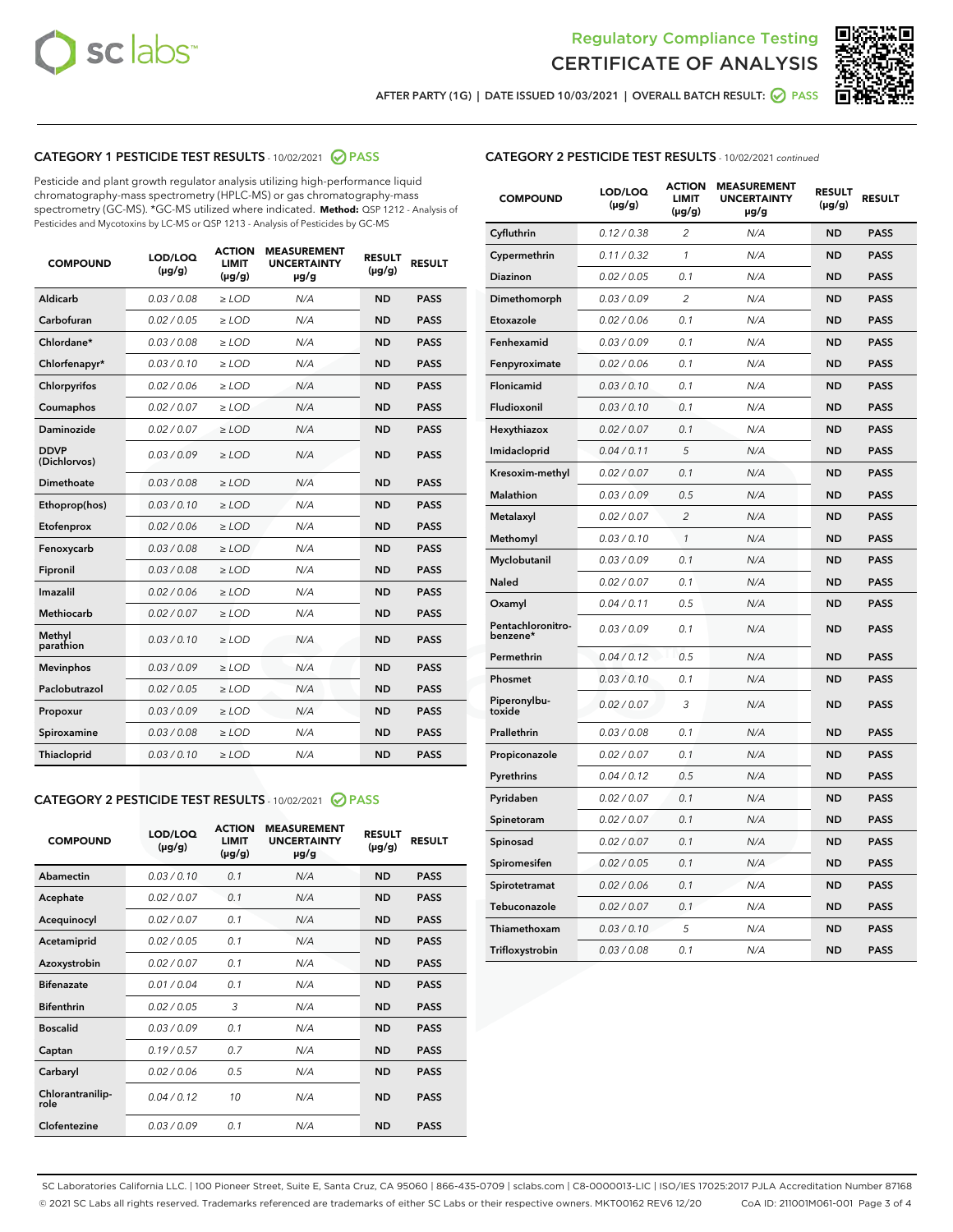



AFTER PARTY (1G) | DATE ISSUED 10/03/2021 | OVERALL BATCH RESULT:  $\bigcirc$  PASS

## CATEGORY 1 PESTICIDE TEST RESULTS - 10/02/2021 2 PASS

Pesticide and plant growth regulator analysis utilizing high-performance liquid chromatography-mass spectrometry (HPLC-MS) or gas chromatography-mass spectrometry (GC-MS). \*GC-MS utilized where indicated. **Method:** QSP 1212 - Analysis of Pesticides and Mycotoxins by LC-MS or QSP 1213 - Analysis of Pesticides by GC-MS

| <b>COMPOUND</b>             | LOD/LOQ<br>$(\mu g/g)$ | <b>ACTION</b><br><b>LIMIT</b><br>$(\mu g/g)$ | <b>MEASUREMENT</b><br><b>UNCERTAINTY</b><br>$\mu$ g/g | <b>RESULT</b><br>$(\mu g/g)$ | <b>RESULT</b> |
|-----------------------------|------------------------|----------------------------------------------|-------------------------------------------------------|------------------------------|---------------|
| Aldicarb                    | 0.03/0.08              | $>$ LOD                                      | N/A                                                   | <b>ND</b>                    | <b>PASS</b>   |
| Carbofuran                  | 0.02 / 0.05            | $\ge$ LOD                                    | N/A                                                   | <b>ND</b>                    | <b>PASS</b>   |
| Chlordane*                  | 0.03/0.08              | $>$ LOD                                      | N/A                                                   | <b>ND</b>                    | <b>PASS</b>   |
| Chlorfenapyr*               | 0.03/0.10              | $\ge$ LOD                                    | N/A                                                   | <b>ND</b>                    | <b>PASS</b>   |
| Chlorpyrifos                | 0.02 / 0.06            | $\ge$ LOD                                    | N/A                                                   | <b>ND</b>                    | <b>PASS</b>   |
| Coumaphos                   | 0.02 / 0.07            | $\ge$ LOD                                    | N/A                                                   | <b>ND</b>                    | <b>PASS</b>   |
| Daminozide                  | 0.02 / 0.07            | $\ge$ LOD                                    | N/A                                                   | <b>ND</b>                    | <b>PASS</b>   |
| <b>DDVP</b><br>(Dichlorvos) | 0.03/0.09              | $\ge$ LOD                                    | N/A                                                   | <b>ND</b>                    | <b>PASS</b>   |
| <b>Dimethoate</b>           | 0.03/0.08              | $\ge$ LOD                                    | N/A                                                   | <b>ND</b>                    | <b>PASS</b>   |
| Ethoprop(hos)               | 0.03/0.10              | $\ge$ LOD                                    | N/A                                                   | <b>ND</b>                    | <b>PASS</b>   |
| Etofenprox                  | 0.02 / 0.06            | $\ge$ LOD                                    | N/A                                                   | <b>ND</b>                    | <b>PASS</b>   |
| Fenoxycarb                  | 0.03/0.08              | $\ge$ LOD                                    | N/A                                                   | <b>ND</b>                    | <b>PASS</b>   |
| Fipronil                    | 0.03/0.08              | $>$ LOD                                      | N/A                                                   | <b>ND</b>                    | <b>PASS</b>   |
| Imazalil                    | 0.02 / 0.06            | $>$ LOD                                      | N/A                                                   | <b>ND</b>                    | <b>PASS</b>   |
| Methiocarb                  | 0.02 / 0.07            | $\ge$ LOD                                    | N/A                                                   | <b>ND</b>                    | <b>PASS</b>   |
| Methyl<br>parathion         | 0.03/0.10              | $\ge$ LOD                                    | N/A                                                   | <b>ND</b>                    | <b>PASS</b>   |
| <b>Mevinphos</b>            | 0.03/0.09              | $\ge$ LOD                                    | N/A                                                   | <b>ND</b>                    | <b>PASS</b>   |
| Paclobutrazol               | 0.02 / 0.05            | $>$ LOD                                      | N/A                                                   | <b>ND</b>                    | <b>PASS</b>   |
| Propoxur                    | 0.03/0.09              | $\ge$ LOD                                    | N/A                                                   | <b>ND</b>                    | <b>PASS</b>   |
| Spiroxamine                 | 0.03/0.08              | $\ge$ LOD                                    | N/A                                                   | <b>ND</b>                    | <b>PASS</b>   |
| Thiacloprid                 | 0.03/0.10              | $\ge$ LOD                                    | N/A                                                   | <b>ND</b>                    | <b>PASS</b>   |
|                             |                        |                                              |                                                       |                              |               |

### CATEGORY 2 PESTICIDE TEST RESULTS - 10/02/2021 @ PASS

| <b>COMPOUND</b>          | LOD/LOQ<br>$(\mu g/g)$ | <b>ACTION</b><br><b>LIMIT</b><br>$(\mu g/g)$ | <b>MEASUREMENT</b><br><b>UNCERTAINTY</b><br>$\mu$ g/g | <b>RESULT</b><br>$(\mu g/g)$ | <b>RESULT</b> |
|--------------------------|------------------------|----------------------------------------------|-------------------------------------------------------|------------------------------|---------------|
| Abamectin                | 0.03/0.10              | 0.1                                          | N/A                                                   | <b>ND</b>                    | <b>PASS</b>   |
| Acephate                 | 0.02/0.07              | 0.1                                          | N/A                                                   | <b>ND</b>                    | <b>PASS</b>   |
| Acequinocyl              | 0.02/0.07              | 0.1                                          | N/A                                                   | <b>ND</b>                    | <b>PASS</b>   |
| Acetamiprid              | 0.02/0.05              | 0.1                                          | N/A                                                   | <b>ND</b>                    | <b>PASS</b>   |
| Azoxystrobin             | 0 02 / 0 07            | 0.1                                          | N/A                                                   | <b>ND</b>                    | <b>PASS</b>   |
| <b>Bifenazate</b>        | 0.01/0.04              | 0.1                                          | N/A                                                   | <b>ND</b>                    | <b>PASS</b>   |
| <b>Bifenthrin</b>        | 0.02 / 0.05            | 3                                            | N/A                                                   | <b>ND</b>                    | <b>PASS</b>   |
| <b>Boscalid</b>          | 0.03/0.09              | 0.1                                          | N/A                                                   | <b>ND</b>                    | <b>PASS</b>   |
| Captan                   | 0.19/0.57              | 0.7                                          | N/A                                                   | <b>ND</b>                    | <b>PASS</b>   |
| Carbaryl                 | 0.02/0.06              | 0.5                                          | N/A                                                   | <b>ND</b>                    | <b>PASS</b>   |
| Chlorantranilip-<br>role | 0.04/0.12              | 10                                           | N/A                                                   | <b>ND</b>                    | <b>PASS</b>   |
| Clofentezine             | 0.03/0.09              | 0.1                                          | N/A                                                   | <b>ND</b>                    | <b>PASS</b>   |

## CATEGORY 2 PESTICIDE TEST RESULTS - 10/02/2021 continued

| <b>COMPOUND</b>               | LOD/LOQ<br>(µg/g) | <b>ACTION</b><br>LIMIT<br>$(\mu g/g)$ | <b>MEASUREMENT</b><br><b>UNCERTAINTY</b><br>µg/g | <b>RESULT</b><br>(µg/g) | <b>RESULT</b> |
|-------------------------------|-------------------|---------------------------------------|--------------------------------------------------|-------------------------|---------------|
| Cyfluthrin                    | 0.12 / 0.38       | $\overline{c}$                        | N/A                                              | ND                      | <b>PASS</b>   |
| Cypermethrin                  | 0.11 / 0.32       | $\mathcal{I}$                         | N/A                                              | ND                      | <b>PASS</b>   |
| Diazinon                      | 0.02 / 0.05       | 0.1                                   | N/A                                              | ND                      | <b>PASS</b>   |
| Dimethomorph                  | 0.03 / 0.09       | $\overline{c}$                        | N/A                                              | <b>ND</b>               | <b>PASS</b>   |
| Etoxazole                     | 0.02 / 0.06       | 0.1                                   | N/A                                              | ND                      | <b>PASS</b>   |
| Fenhexamid                    | 0.03 / 0.09       | 0.1                                   | N/A                                              | ND                      | <b>PASS</b>   |
| Fenpyroximate                 | 0.02 / 0.06       | 0.1                                   | N/A                                              | <b>ND</b>               | <b>PASS</b>   |
| Flonicamid                    | 0.03 / 0.10       | 0.1                                   | N/A                                              | ND                      | <b>PASS</b>   |
| Fludioxonil                   | 0.03 / 0.10       | 0.1                                   | N/A                                              | <b>ND</b>               | <b>PASS</b>   |
| Hexythiazox                   | 0.02 / 0.07       | 0.1                                   | N/A                                              | ND                      | <b>PASS</b>   |
| Imidacloprid                  | 0.04 / 0.11       | 5                                     | N/A                                              | ND                      | <b>PASS</b>   |
| Kresoxim-methyl               | 0.02 / 0.07       | 0.1                                   | N/A                                              | ND                      | <b>PASS</b>   |
| <b>Malathion</b>              | 0.03 / 0.09       | 0.5                                   | N/A                                              | <b>ND</b>               | <b>PASS</b>   |
| Metalaxyl                     | 0.02 / 0.07       | $\overline{c}$                        | N/A                                              | <b>ND</b>               | <b>PASS</b>   |
| Methomyl                      | 0.03 / 0.10       | 1                                     | N/A                                              | <b>ND</b>               | <b>PASS</b>   |
| Myclobutanil                  | 0.03 / 0.09       | 0.1                                   | N/A                                              | <b>ND</b>               | <b>PASS</b>   |
| Naled                         | 0.02 / 0.07       | 0.1                                   | N/A                                              | ND                      | <b>PASS</b>   |
| Oxamyl                        | 0.04 / 0.11       | 0.5                                   | N/A                                              | ND                      | <b>PASS</b>   |
| Pentachloronitro-<br>benzene* | 0.03 / 0.09       | 0.1                                   | N/A                                              | ND                      | <b>PASS</b>   |
| Permethrin                    | 0.04/0.12         | 0.5                                   | N/A                                              | <b>ND</b>               | <b>PASS</b>   |
| Phosmet                       | 0.03 / 0.10       | 0.1                                   | N/A                                              | ND                      | <b>PASS</b>   |
| Piperonylbu-<br>toxide        | 0.02 / 0.07       | 3                                     | N/A                                              | <b>ND</b>               | <b>PASS</b>   |
| Prallethrin                   | 0.03 / 0.08       | 0.1                                   | N/A                                              | <b>ND</b>               | <b>PASS</b>   |
| Propiconazole                 | 0.02 / 0.07       | 0.1                                   | N/A                                              | ND                      | <b>PASS</b>   |
| Pyrethrins                    | 0.04 / 0.12       | 0.5                                   | N/A                                              | ND                      | <b>PASS</b>   |
| Pyridaben                     | 0.02 / 0.07       | 0.1                                   | N/A                                              | <b>ND</b>               | <b>PASS</b>   |
| Spinetoram                    | 0.02 / 0.07       | 0.1                                   | N/A                                              | ND                      | <b>PASS</b>   |
| Spinosad                      | 0.02 / 0.07       | 0.1                                   | N/A                                              | ND                      | <b>PASS</b>   |
| Spiromesifen                  | 0.02 / 0.05       | 0.1                                   | N/A                                              | <b>ND</b>               | <b>PASS</b>   |
| Spirotetramat                 | 0.02 / 0.06       | 0.1                                   | N/A                                              | ND                      | <b>PASS</b>   |
| Tebuconazole                  | 0.02 / 0.07       | 0.1                                   | N/A                                              | ND                      | <b>PASS</b>   |
| Thiamethoxam                  | 0.03 / 0.10       | 5                                     | N/A                                              | <b>ND</b>               | <b>PASS</b>   |
| Trifloxystrobin               | 0.03 / 0.08       | 0.1                                   | N/A                                              | <b>ND</b>               | <b>PASS</b>   |

SC Laboratories California LLC. | 100 Pioneer Street, Suite E, Santa Cruz, CA 95060 | 866-435-0709 | sclabs.com | C8-0000013-LIC | ISO/IES 17025:2017 PJLA Accreditation Number 87168 © 2021 SC Labs all rights reserved. Trademarks referenced are trademarks of either SC Labs or their respective owners. MKT00162 REV6 12/20 CoA ID: 211001M061-001 Page 3 of 4